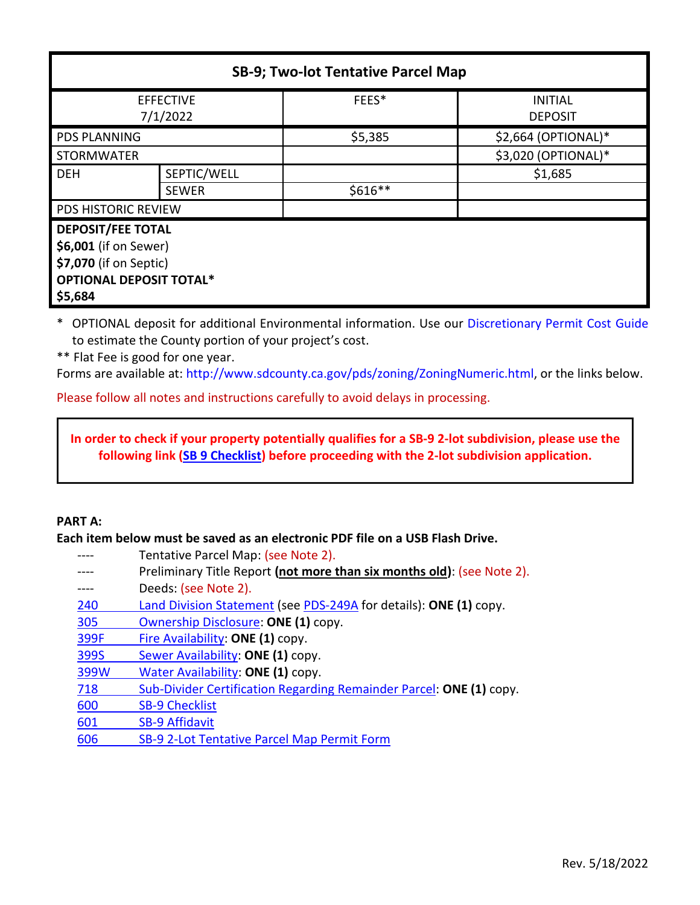| <b>SB-9; Two-lot Tentative Parcel Map</b> |              |           |                                  |
|-------------------------------------------|--------------|-----------|----------------------------------|
| <b>EFFECTIVE</b><br>7/1/2022              |              | FEES*     | <b>INITIAL</b><br><b>DEPOSIT</b> |
| <b>PDS PLANNING</b>                       |              | \$5,385   | \$2,664 (OPTIONAL)*              |
| <b>STORMWATER</b>                         |              |           | \$3,020 (OPTIONAL)*              |
| <b>DEH</b>                                | SEPTIC/WELL  |           | \$1,685                          |
|                                           | <b>SEWER</b> | $$616**$$ |                                  |
| <b>PDS HISTORIC REVIEW</b>                |              |           |                                  |
| <b>DEPOSIT/FEE TOTAL</b>                  |              |           |                                  |
| \$6,001 (if on Sewer)                     |              |           |                                  |
| \$7,070 (if on Septic)                    |              |           |                                  |
| <b>OPTIONAL DEPOSIT TOTAL*</b>            |              |           |                                  |
| \$5,684                                   |              |           |                                  |

\* OPTIONAL deposit for additional Environmental information. Use our [Discretionary Permit Cost Guide](http://www.sandiegocounty.gov/content/dam/sdc/pds/docs/Discretionary_Permit_Cost_Guide.xlsx) to estimate the County portion of your project's cost.

\*\* Flat Fee is good for one year.

Forms are available at[: http://www.sdcounty.ca.gov/pds/zoning/ZoningNumeric.html,](http://www.sdcounty.ca.gov/pds/zoning/ZoningNumeric.html) or the links below.

Please follow all notes and instructions carefully to avoid delays in processing.

**In order to check if your property potentially qualifies for a SB-9 2-lot subdivision, please use the following link [\(SB 9 Checklist\)](https://www.sandiegocounty.gov/content/dam/sdc/pds/zoning/formfields/PDS-PLN-600.pdf) before proceeding with the 2-lot subdivision application.**

#### **PART A:**

**Each item below must be saved as an electronic PDF file on a USB Flash Drive.**

- ---- Tentative Parcel Map: (see Note 2).
- ---- Preliminary Title Report **(not more than six months old)**: (see Note 2).
- ---- Deeds: (see Note 2).
- [240 Land Division Statement](http://www.sdcounty.ca.gov/pds/zoning/formfields/PDS-PLN-240.pdf) (see [PDS-249A](http://www.sdcounty.ca.gov/pds/zoning/formfields/PDS-PLN-249A.pdf) for details): **ONE (1)** copy.
- [305 Ownership Disclosure:](http://www.sdcounty.ca.gov/pds/zoning/formfields/PDS-PLN-305.pdf) **ONE (1)** copy.
- 399F Fire [Availability:](http://www.sdcounty.ca.gov/pds/zoning/formfields/PDS-PLN-399F.pdf) **ONE (1)** copy.
- 399S [Sewer Availability:](http://www.sdcounty.ca.gov/pds/zoning/formfields/PDS-PLN-399S.pdf) **ONE (1)** copy.
- 399W [Water Availability:](http://www.sdcounty.ca.gov/pds/zoning/formfields/PDS-PLN-399W.pdf) **ONE (1)** copy.
- 718 [Sub-Divider Certification Regarding Remainder Parcel:](http://www.sdcounty.ca.gov/pds/zoning/formfields/PDS-PLN-718.pdf) **ONE (1)** copy.
- 600 [SB-9 Checklist](https://www.sandiegocounty.gov/content/dam/sdc/pds/zoning/formfields/PDS-PLN-600.pdf)
- 601 [SB-9 Affidavit](https://www.sandiegocounty.gov/content/dam/sdc/pds/zoning/formfields/PDS-PLN-601.pdf)
- 606 [SB-9 2-Lot Tentative Parcel Map Permit](https://www.sandiegocounty.gov/content/dam/sdc/pds/zoning/formfields/PDS-PLN-606.pdf) Form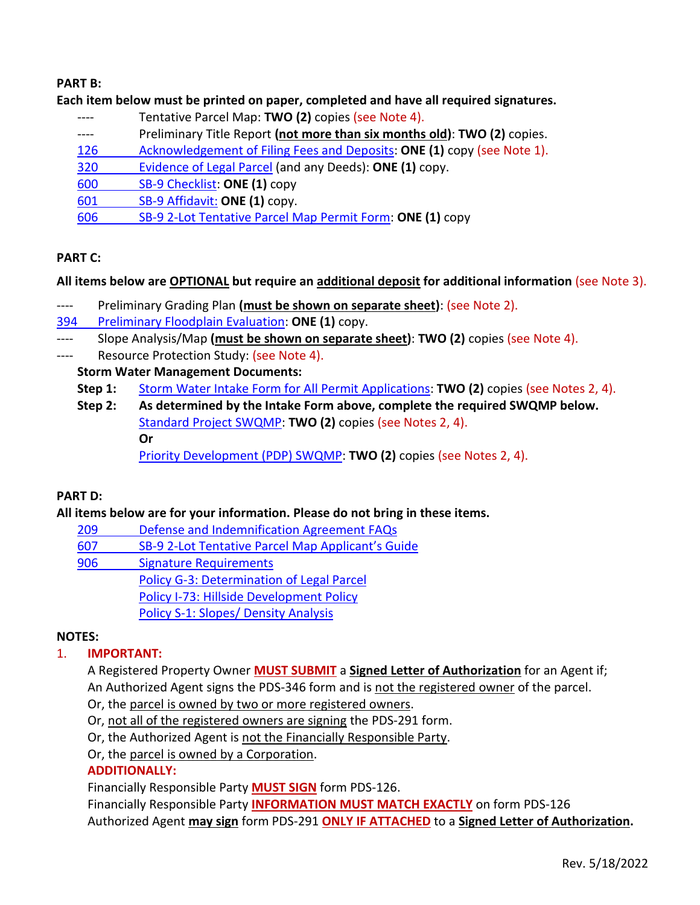#### **PART B:**

#### **Each item below must be printed on paper, completed and have all required signatures.**

- ---- Tentative Parcel Map: **TWO (2)** copies (see Note 4).
- ---- Preliminary Title Report **(not more than six months old)**: **TWO (2)** copies.
- [126 Acknowledgement of Filing Fees and Deposits:](http://www.sdcounty.ca.gov/pds/zoning/formfields/PDS-PLN-126.pdf) **ONE (1)** copy (see Note 1).
- [320 Evidence of](http://www.sdcounty.ca.gov/pds/zoning/formfields/PDS-PLN-320.pdf) Legal Parcel (and any Deeds): **ONE (1)** copy.
- 600 [SB-9 Checklist:](https://www.sandiegocounty.gov/content/dam/sdc/pds/zoning/formfields/PDS-PLN-600.pdf) **ONE (1)** copy
- 601 [SB-9 Affidavit:](https://www.sandiegocounty.gov/content/dam/sdc/pds/zoning/formfields/PDS-PLN-601.pdf) **ONE (1)** copy.
- 606 [SB-9 2-Lot Tentative Parcel Map Permit Form:](https://www.sandiegocounty.gov/content/dam/sdc/pds/zoning/formfields/PDS-PLN-606.pdf) **ONE (1)** copy

# **PART C:**

## **All items below are OPTIONAL but require an additional deposit for additional information** (see Note 3).

- ---- Preliminary Grading Plan **(must be shown on separate sheet)**: (see Note 2).
- 394 [Preliminary Floodplain Evaluation:](http://www.sdcounty.ca.gov/pds/zoning/formfields/PDS-PLN-394.pdf) **ONE (1)** copy.
- ---- Slope Analysis/Map **(must be shown on separate sheet)**: **TWO (2)** copies (see Note 4).
- ---- Resource Protection Study: (see Note 4).

## **Storm Water Management Documents:**

- **Step 1:** [Storm Water Intake Form for All Permit Applications:](http://www.sandiegocounty.gov/content/dam/sdc/pds/zoning/formfields/SWQMP-Intake-Form.pdf) **TWO (2)** copies (see Notes 2, 4).
- **Step 2: As determined by the Intake Form above, complete the required SWQMP below.** [Standard Project SWQMP:](http://www.sandiegocounty.gov/content/dam/sdc/pds/zoning/formfields/SWQMP-Standard.pdf) **TWO (2)** copies (see Notes 2, 4). **Or** [Priority Development \(PDP\) SWQMP:](https://www.sandiegocounty.gov/content/sdc/dpw/watersheds/DevelopmentandConstruction/BMP_Design_Manual.html) **TWO (2)** copies (see Notes 2, 4).

## **PART D:**

## **All items below are for your information. Please do not bring in these items.**

- 209 [Defense and Indemnification Agreement FAQs](http://www.sdcounty.ca.gov/pds/zoning/formfields/PDS-PLN-209.pdf)
- 607 SB-9 2-Lot Tentative Par[cel Map Applicant's Guide](http://www.sdcounty.ca.gov/pds/zoning/formfields/PDS-PLN-607.pdf)
- [906 Signature Requirements](http://www.sdcounty.ca.gov/pds/zoning/formfields/PDS-PLN-906.pdf) 
	- [Policy G-3: Determination of Legal Parcel](http://www.sdcounty.ca.gov/pds/zoning/formfields/POLICY-G-3.pdf)
	- Policy I-73: [Hillside Development Policy](http://www.sdcounty.ca.gov/cob/docs/policy/I-73.pdf)
	- Policy S-1: Slopes/ [Density Analysis](http://www.sdcounty.ca.gov/pds/zoning/formfields/POLICY-S-1.pdf)

## **NOTES:**

## 1. **IMPORTANT:**

A Registered Property Owner **MUST SUBMIT** a **Signed Letter of Authorization** for an Agent if; An Authorized Agent signs the PDS-346 form and is not the registered owner of the parcel.

- Or, the parcel is owned by two or more registered owners.
- Or, not all of the registered owners are signing the PDS-291 form.
- Or, the Authorized Agent is not the Financially Responsible Party.
- Or, the parcel is owned by a Corporation.

## **ADDITIONALLY:**

Financially Responsible Party **MUST SIGN** form PDS-126.

Financially Responsible Party **INFORMATION MUST MATCH EXACTLY** on form PDS-126 Authorized Agent **may sign** form PDS-291 **ONLY IF ATTACHED** to a **Signed Letter of Authorization.**